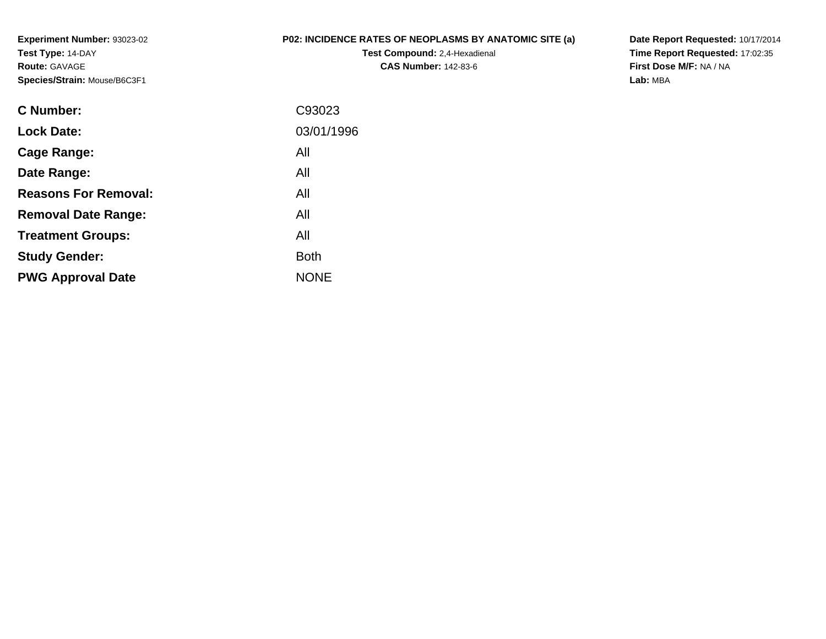**Experiment Number:** 93023-02**Test Type:** 14-DAY**Route:** GAVAGE**Species/Strain:** Mouse/B6C3F1

## **P02: INCIDENCE RATES OF NEOPLASMS BY ANATOMIC SITE (a)**

**Test Compound:** 2,4-Hexadienal **CAS Number:** 142-83-6

**Date Report Requested:** 10/17/2014 **Time Report Requested:** 17:02:35**First Dose M/F:** NA / NA**Lab:** MBA

| C93023      |
|-------------|
| 03/01/1996  |
| All         |
| All         |
| All         |
| All         |
| All         |
| <b>Both</b> |
| <b>NONE</b> |
|             |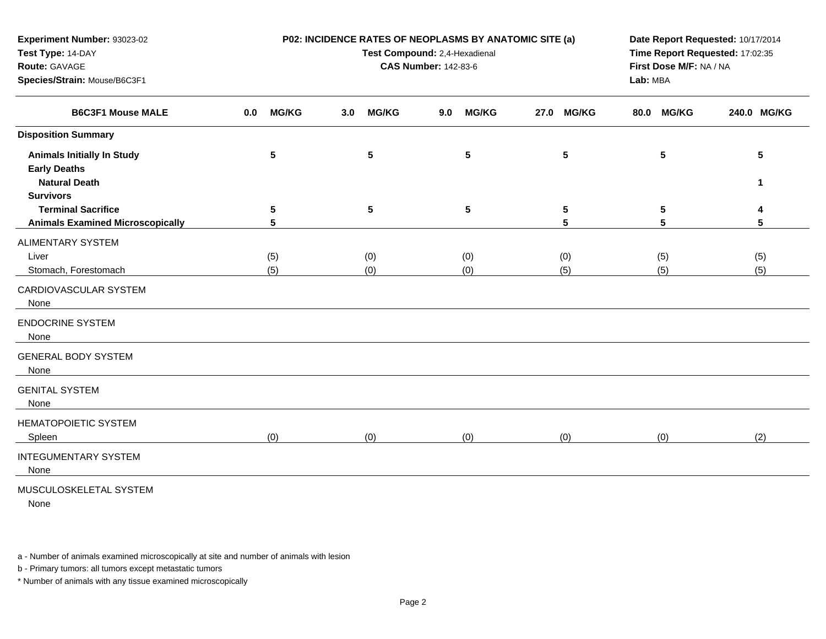| Experiment Number: 93023-02             |                     | P02: INCIDENCE RATES OF NEOPLASMS BY ANATOMIC SITE (a) | Date Report Requested: 10/17/2014   |                                 |                      |              |  |
|-----------------------------------------|---------------------|--------------------------------------------------------|-------------------------------------|---------------------------------|----------------------|--------------|--|
| Test Type: 14-DAY                       |                     | Test Compound: 2,4-Hexadienal                          |                                     | Time Report Requested: 17:02:35 |                      |              |  |
| Route: GAVAGE                           |                     | <b>CAS Number: 142-83-6</b>                            | First Dose M/F: NA / NA<br>Lab: MBA |                                 |                      |              |  |
| Species/Strain: Mouse/B6C3F1            |                     |                                                        |                                     |                                 |                      |              |  |
| <b>B6C3F1 Mouse MALE</b>                | <b>MG/KG</b><br>0.0 | <b>MG/KG</b><br>3.0                                    | <b>MG/KG</b><br>9.0                 | <b>MG/KG</b><br>27.0            | <b>MG/KG</b><br>80.0 | 240.0 MG/KG  |  |
| <b>Disposition Summary</b>              |                     |                                                        |                                     |                                 |                      |              |  |
| <b>Animals Initially In Study</b>       | $\sqrt{5}$          | $5\phantom{.0}$                                        | 5                                   | $5\phantom{.0}$                 | $5\phantom{.0}$      | 5            |  |
| <b>Early Deaths</b>                     |                     |                                                        |                                     |                                 |                      |              |  |
| <b>Natural Death</b>                    |                     |                                                        |                                     |                                 |                      | $\mathbf{1}$ |  |
| <b>Survivors</b>                        |                     |                                                        |                                     |                                 |                      |              |  |
| <b>Terminal Sacrifice</b>               | 5                   | $5\phantom{.0}$                                        | ${\bf 5}$                           | $5\phantom{.0}$                 | $5\phantom{.0}$      | 4            |  |
| <b>Animals Examined Microscopically</b> | 5                   |                                                        |                                     | 5                               | 5                    | 5            |  |
| <b>ALIMENTARY SYSTEM</b>                |                     |                                                        |                                     |                                 |                      |              |  |
| Liver                                   | (5)                 | (0)                                                    | (0)                                 | (0)                             | (5)                  | (5)          |  |
| Stomach, Forestomach                    | (5)                 | (0)                                                    | (0)                                 | (5)                             | (5)                  | (5)          |  |
| CARDIOVASCULAR SYSTEM<br>None           |                     |                                                        |                                     |                                 |                      |              |  |
| <b>ENDOCRINE SYSTEM</b><br>None         |                     |                                                        |                                     |                                 |                      |              |  |
| <b>GENERAL BODY SYSTEM</b><br>None      |                     |                                                        |                                     |                                 |                      |              |  |
| <b>GENITAL SYSTEM</b><br>None           |                     |                                                        |                                     |                                 |                      |              |  |
| <b>HEMATOPOIETIC SYSTEM</b>             |                     |                                                        |                                     |                                 |                      |              |  |
| Spleen                                  | (0)                 | (0)                                                    | (0)                                 | (0)                             | (0)                  | (2)          |  |
| <b>INTEGUMENTARY SYSTEM</b><br>None     |                     |                                                        |                                     |                                 |                      |              |  |
| MUSCULOSKELETAL SYSTEM<br>None          |                     |                                                        |                                     |                                 |                      |              |  |

b - Primary tumors: all tumors except metastatic tumors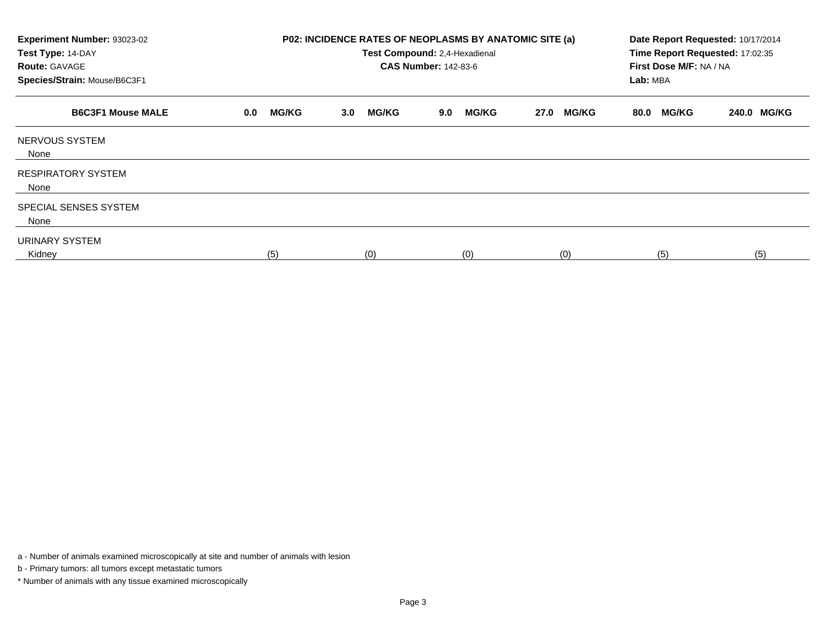| Experiment Number: 93023-02<br>Test Type: 14-DAY<br><b>Route: GAVAGE</b><br>Species/Strain: Mouse/B6C3F1 |                     | P02: INCIDENCE RATES OF NEOPLASMS BY ANATOMIC SITE (a)<br>Test Compound: 2,4-Hexadienal<br><b>CAS Number: 142-83-6</b> | Date Report Requested: 10/17/2014<br>Time Report Requested: 17:02:35<br>First Dose M/F: NA / NA<br>Lab: MBA |                      |                      |             |
|----------------------------------------------------------------------------------------------------------|---------------------|------------------------------------------------------------------------------------------------------------------------|-------------------------------------------------------------------------------------------------------------|----------------------|----------------------|-------------|
| <b>B6C3F1 Mouse MALE</b>                                                                                 | <b>MG/KG</b><br>0.0 | <b>MG/KG</b><br>3.0                                                                                                    | <b>MG/KG</b><br>9.0                                                                                         | <b>MG/KG</b><br>27.0 | <b>MG/KG</b><br>80.0 | 240.0 MG/KG |
| NERVOUS SYSTEM<br>None                                                                                   |                     |                                                                                                                        |                                                                                                             |                      |                      |             |
| <b>RESPIRATORY SYSTEM</b><br>None                                                                        |                     |                                                                                                                        |                                                                                                             |                      |                      |             |
| SPECIAL SENSES SYSTEM<br>None                                                                            |                     |                                                                                                                        |                                                                                                             |                      |                      |             |
| URINARY SYSTEM<br>Kidney                                                                                 | (5)                 | (0)                                                                                                                    | (0)                                                                                                         | (0)                  | (5)                  | (5)         |

b - Primary tumors: all tumors except metastatic tumors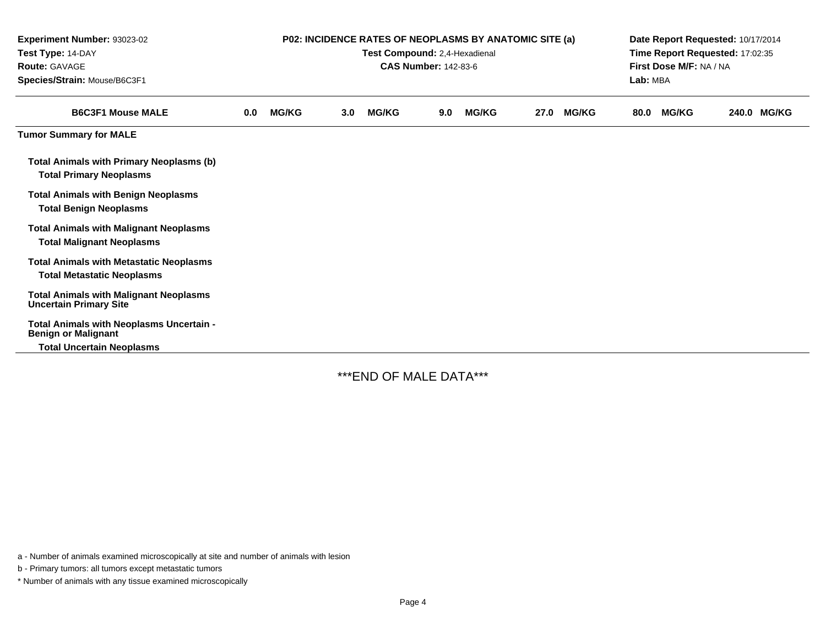| Experiment Number: 93023-02<br>Test Type: 14-DAY<br><b>Route: GAVAGE</b><br>Species/Strain: Mouse/B6C3F1 | <b>P02: INCIDENCE RATES OF NEOPLASMS BY ANATOMIC SITE (a)</b><br>Test Compound: 2,4-Hexadienal<br><b>CAS Number: 142-83-6</b> |              |     |              |     |              |      |              | Date Report Requested: 10/17/2014<br>Time Report Requested: 17:02:35<br>First Dose M/F: NA / NA<br>Lab: MBA |              |       |              |  |
|----------------------------------------------------------------------------------------------------------|-------------------------------------------------------------------------------------------------------------------------------|--------------|-----|--------------|-----|--------------|------|--------------|-------------------------------------------------------------------------------------------------------------|--------------|-------|--------------|--|
| <b>B6C3F1 Mouse MALE</b>                                                                                 | 0.0                                                                                                                           | <b>MG/KG</b> | 3.0 | <b>MG/KG</b> | 9.0 | <b>MG/KG</b> | 27.0 | <b>MG/KG</b> | 80.0                                                                                                        | <b>MG/KG</b> | 240.0 | <b>MG/KG</b> |  |
| <b>Tumor Summary for MALE</b>                                                                            |                                                                                                                               |              |     |              |     |              |      |              |                                                                                                             |              |       |              |  |
| Total Animals with Primary Neoplasms (b)<br><b>Total Primary Neoplasms</b>                               |                                                                                                                               |              |     |              |     |              |      |              |                                                                                                             |              |       |              |  |
| <b>Total Animals with Benign Neoplasms</b><br><b>Total Benign Neoplasms</b>                              |                                                                                                                               |              |     |              |     |              |      |              |                                                                                                             |              |       |              |  |
| <b>Total Animals with Malignant Neoplasms</b><br><b>Total Malignant Neoplasms</b>                        |                                                                                                                               |              |     |              |     |              |      |              |                                                                                                             |              |       |              |  |
| <b>Total Animals with Metastatic Neoplasms</b><br><b>Total Metastatic Neoplasms</b>                      |                                                                                                                               |              |     |              |     |              |      |              |                                                                                                             |              |       |              |  |
| <b>Total Animals with Malignant Neoplasms</b><br><b>Uncertain Primary Site</b>                           |                                                                                                                               |              |     |              |     |              |      |              |                                                                                                             |              |       |              |  |
| Total Animals with Neoplasms Uncertain -<br><b>Benign or Malignant</b>                                   |                                                                                                                               |              |     |              |     |              |      |              |                                                                                                             |              |       |              |  |
| <b>Total Uncertain Neoplasms</b>                                                                         |                                                                                                                               |              |     |              |     |              |      |              |                                                                                                             |              |       |              |  |

\*\*\*END OF MALE DATA\*\*\*

a - Number of animals examined microscopically at site and number of animals with lesion

b - Primary tumors: all tumors except metastatic tumors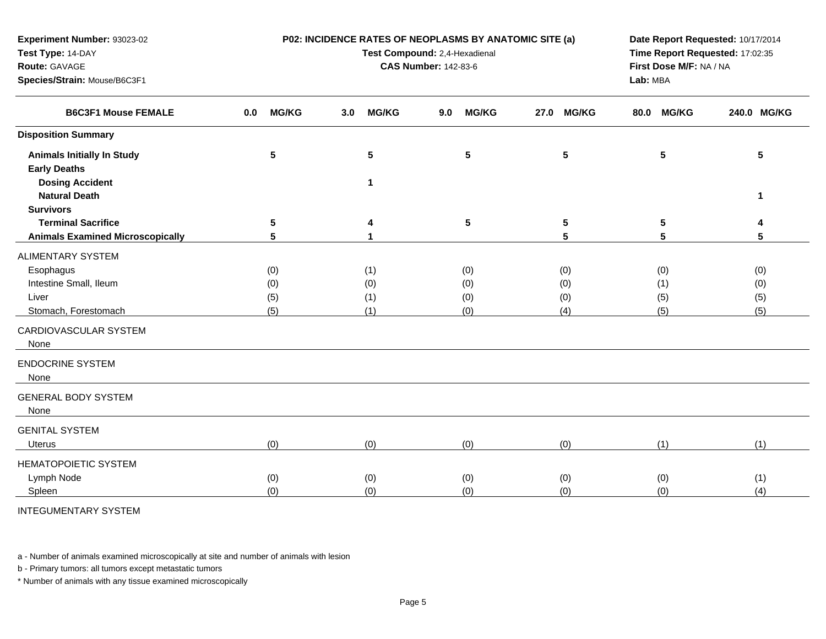| Experiment Number: 93023-02<br>Test Type: 14-DAY<br>Route: GAVAGE<br>Species/Strain: Mouse/B6C3F1 |                     | P02: INCIDENCE RATES OF NEOPLASMS BY ANATOMIC SITE (a)<br>Test Compound: 2,4-Hexadienal<br><b>CAS Number: 142-83-6</b> | Date Report Requested: 10/17/2014<br>Time Report Requested: 17:02:35<br>First Dose M/F: NA / NA<br>Lab: MBA |                      |                      |             |
|---------------------------------------------------------------------------------------------------|---------------------|------------------------------------------------------------------------------------------------------------------------|-------------------------------------------------------------------------------------------------------------|----------------------|----------------------|-------------|
|                                                                                                   |                     |                                                                                                                        |                                                                                                             |                      |                      |             |
| <b>B6C3F1 Mouse FEMALE</b>                                                                        | <b>MG/KG</b><br>0.0 | <b>MG/KG</b><br>3.0                                                                                                    | <b>MG/KG</b><br>9.0                                                                                         | <b>MG/KG</b><br>27.0 | <b>MG/KG</b><br>80.0 | 240.0 MG/KG |
| <b>Disposition Summary</b>                                                                        |                     |                                                                                                                        |                                                                                                             |                      |                      |             |
| <b>Animals Initially In Study</b><br><b>Early Deaths</b><br><b>Dosing Accident</b>                | 5                   | $5\phantom{a}$<br>1                                                                                                    | 5                                                                                                           | $5\phantom{.0}$      | 5                    | 5           |
| <b>Natural Death</b>                                                                              |                     |                                                                                                                        |                                                                                                             |                      |                      | 1           |
| <b>Survivors</b>                                                                                  |                     |                                                                                                                        |                                                                                                             |                      |                      |             |
| <b>Terminal Sacrifice</b>                                                                         | 5                   | 4                                                                                                                      | $5\phantom{.0}$                                                                                             | 5                    | 5                    |             |
| <b>Animals Examined Microscopically</b>                                                           | 5                   | 1                                                                                                                      |                                                                                                             | 5                    | 5                    | 5           |
| <b>ALIMENTARY SYSTEM</b>                                                                          |                     |                                                                                                                        |                                                                                                             |                      |                      |             |
| Esophagus                                                                                         | (0)                 | (1)                                                                                                                    | (0)                                                                                                         | (0)                  | (0)                  | (0)         |
| Intestine Small, Ileum                                                                            | (0)                 | (0)                                                                                                                    | (0)                                                                                                         | (0)                  | (1)                  | (0)         |
| Liver                                                                                             | (5)                 | (1)                                                                                                                    | (0)                                                                                                         | (0)                  | (5)                  | (5)         |
| Stomach, Forestomach                                                                              | (5)                 | (1)                                                                                                                    | (0)                                                                                                         | (4)                  | (5)                  | (5)         |
| CARDIOVASCULAR SYSTEM<br>None                                                                     |                     |                                                                                                                        |                                                                                                             |                      |                      |             |
| <b>ENDOCRINE SYSTEM</b><br>None                                                                   |                     |                                                                                                                        |                                                                                                             |                      |                      |             |
| <b>GENERAL BODY SYSTEM</b><br>None                                                                |                     |                                                                                                                        |                                                                                                             |                      |                      |             |
| <b>GENITAL SYSTEM</b>                                                                             |                     |                                                                                                                        |                                                                                                             |                      |                      |             |
| <b>Uterus</b>                                                                                     | (0)                 | (0)                                                                                                                    | (0)                                                                                                         | (0)                  | (1)                  | (1)         |
| <b>HEMATOPOIETIC SYSTEM</b>                                                                       |                     |                                                                                                                        |                                                                                                             |                      |                      |             |
| Lymph Node                                                                                        | (0)                 | (0)                                                                                                                    | (0)                                                                                                         | (0)                  | (0)                  | (1)         |
| Spleen                                                                                            | (0)                 | (0)                                                                                                                    | (0)                                                                                                         | (0)                  | (0)                  | (4)         |
| <b>INTEGUMENTARY SYSTEM</b>                                                                       |                     |                                                                                                                        |                                                                                                             |                      |                      |             |

b - Primary tumors: all tumors except metastatic tumors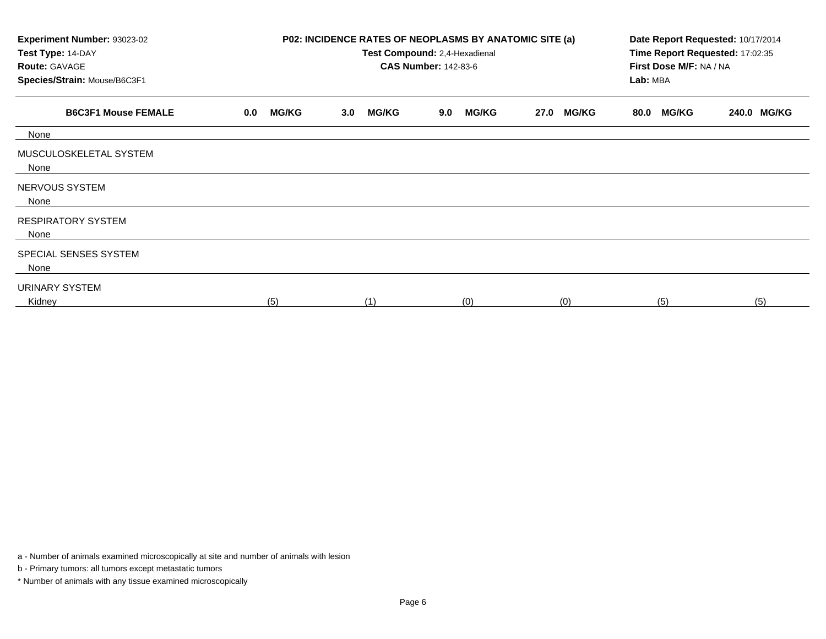| Experiment Number: 93023-02<br>Test Type: 14-DAY<br><b>Route: GAVAGE</b><br>Species/Strain: Mouse/B6C3F1 |                     | P02: INCIDENCE RATES OF NEOPLASMS BY ANATOMIC SITE (a)<br>Test Compound: 2,4-Hexadienal<br><b>CAS Number: 142-83-6</b> | Date Report Requested: 10/17/2014<br>Time Report Requested: 17:02:35<br>First Dose M/F: NA / NA<br>Lab: MBA |                      |                      |             |
|----------------------------------------------------------------------------------------------------------|---------------------|------------------------------------------------------------------------------------------------------------------------|-------------------------------------------------------------------------------------------------------------|----------------------|----------------------|-------------|
| <b>B6C3F1 Mouse FEMALE</b>                                                                               | <b>MG/KG</b><br>0.0 | <b>MG/KG</b><br>3.0                                                                                                    | <b>MG/KG</b><br>9.0                                                                                         | <b>MG/KG</b><br>27.0 | <b>MG/KG</b><br>80.0 | 240.0 MG/KG |
| None                                                                                                     |                     |                                                                                                                        |                                                                                                             |                      |                      |             |
| MUSCULOSKELETAL SYSTEM<br>None                                                                           |                     |                                                                                                                        |                                                                                                             |                      |                      |             |
| NERVOUS SYSTEM<br>None                                                                                   |                     |                                                                                                                        |                                                                                                             |                      |                      |             |
| <b>RESPIRATORY SYSTEM</b><br>None                                                                        |                     |                                                                                                                        |                                                                                                             |                      |                      |             |
| SPECIAL SENSES SYSTEM<br>None                                                                            |                     |                                                                                                                        |                                                                                                             |                      |                      |             |
| URINARY SYSTEM<br>Kidney                                                                                 | (5)                 | (1)                                                                                                                    | (0)                                                                                                         | (0)                  | (5)                  | (5)         |

b - Primary tumors: all tumors except metastatic tumors